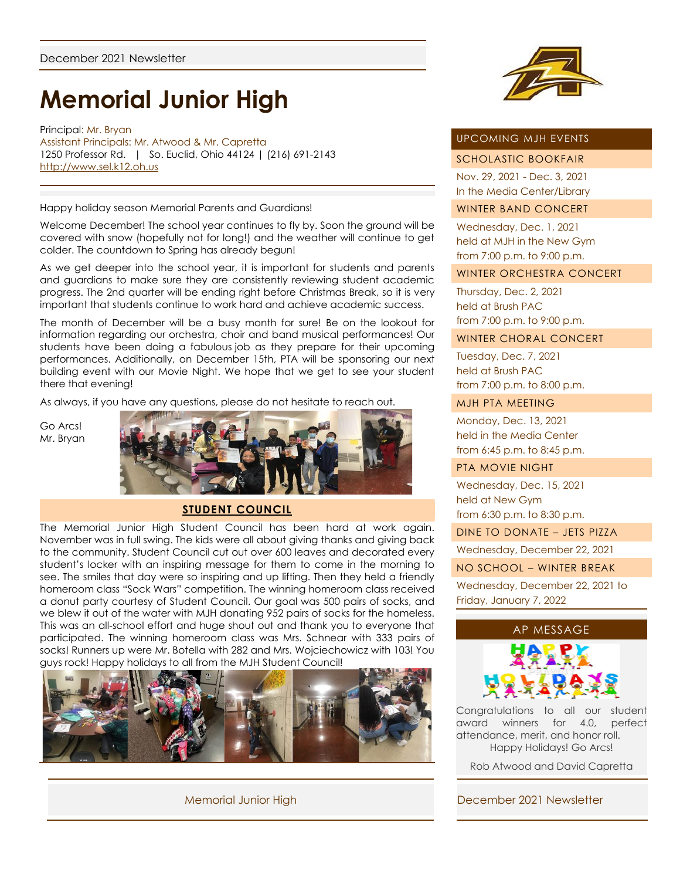# **Memorial Junior High**

Principal: Mr. Bryan Assistant Principals: Mr. Atwood & Mr. Capretta 1250 Professor Rd. | So. Euclid, Ohio 44124 | (216) 691-2143 [http://www.sel.k12.oh.us](http://www.sel.k12.oh.us/)

Happy holiday season Memorial Parents and Guardians!

Welcome December! The school year continues to fly by. Soon the ground will be covered with snow (hopefully not for long!) and the weather will continue to get colder. The countdown to Spring has already begun!

As we get deeper into the school year, it is important for students and parents and guardians to make sure they are consistently reviewing student academic progress. The 2nd quarter will be ending right before Christmas Break, so it is very important that students continue to work hard and achieve academic success.

The month of December will be a busy month for sure! Be on the lookout for information regarding our orchestra, choir and band musical performances! Our students have been doing a fabulous job as they prepare for their upcoming performances. Additionally, on December 15th, PTA will be sponsoring our next building event with our Movie Night. We hope that we get to see your student there that evening!

As always, if you have any questions, please do not hesitate to reach out.

Go Arcs! Mr. Bryan



#### **STUDENT COUNCIL**

The Memorial Junior High Student Council has been hard at work again. November was in full swing. The kids were all about giving thanks and giving back to the community. Student Council cut out over 600 leaves and decorated every student's locker with an inspiring message for them to come in the morning to see. The smiles that day were so inspiring and up lifting. Then they held a friendly homeroom class "Sock Wars" competition. The winning homeroom class received a donut party courtesy of Student Council. Our goal was 500 pairs of socks, and we blew it out of the water with MJH donating 952 pairs of socks for the homeless. This was an all-school effort and huge shout out and thank you to everyone that participated. The winning homeroom class was Mrs. Schnear with 333 pairs of socks! Runners up were Mr. Botella with 282 and Mrs. Wojciechowicz with 103! You guys rock! Happy holidays to all from the MJH Student Council!





# UPCOMING MJH EVENTS

## SCHOLASTIC BOOKFAIR

Nov. 29, 2021 - Dec. 3, 2021 In the Media Center/Library

## WINTER BAND CONCERT

Wednesday, Dec. 1, 2021 held at MJH in the New Gym from 7:00 p.m. to 9:00 p.m.

#### WINTER ORCHESTRA CONCERT

Thursday, Dec. 2, 2021 held at Brush PAC from 7:00 p.m. to 9:00 p.m.

#### WINTER CHORAL CONCERT

Tuesday, Dec. 7, 2021 held at Brush PAC from 7:00 p.m. to 8:00 p.m.

## MJH PTA MEETING

Monday, Dec. 13, 2021 held in the Media Center from 6:45 p.m. to 8:45 p.m.

#### PTA MOVIE NIGHT

Wednesday, Dec. 15, 2021 held at New Gym from 6:30 p.m. to 8:30 p.m.

DINE TO DONATE – JETS PIZZA

Wednesday, December 22, 2021

#### NO SCHOOL – WINTER BREAK

Wednesday, December 22, 2021 to Friday, January 7, 2022





Congratulations to all our student award winners for 4.0, perfect attendance, merit, and honor roll. Happy Holidays! Go Arcs!

Rob Atwood and David Capretta

## Memorial Junior High December 2021 Newsletter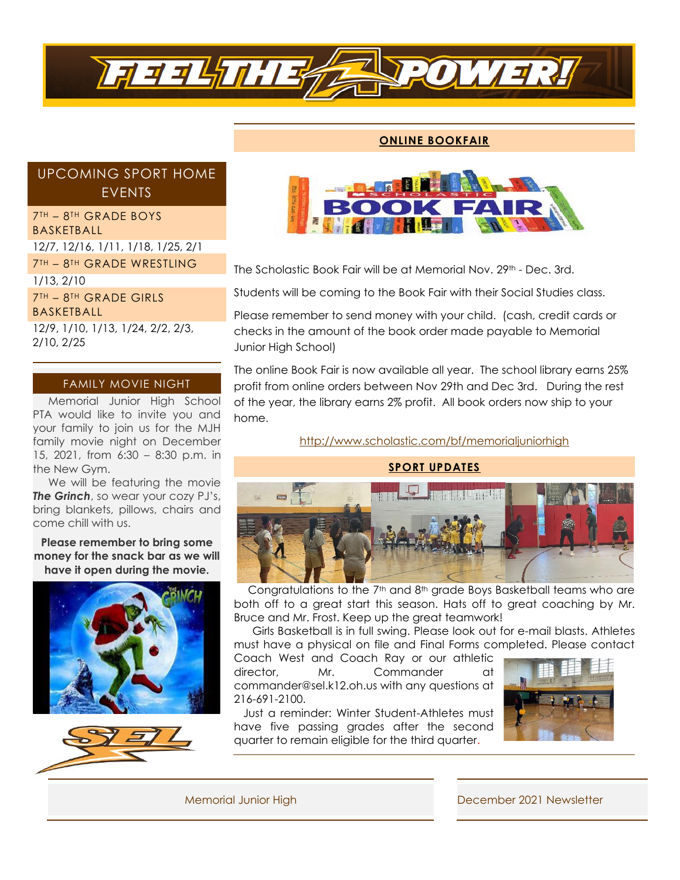

# **ONLINE BOOKFAIR**

# UPCOMING SPORT HOME EVENTS

7TH – 8TH GRADE BOYS BASKETBALL 12/7, 12/16, 1/11, 1/18, 1/25, 2/1 7TH – 8TH GRADE WRESTLING 1/13, 2/10 7TH – 8TH GRADE GIRLS BASKETBALL 12/9, 1/10, 1/13, 1/24, 2/2, 2/3,

2/10, 2/25

# FAMILY MOVIE NIGHT

 Memorial Junior High School PTA would like to invite you and your family to join us for the MJH family movie night on December 15, 2021, from 6:30 – 8:30 p.m. in the New Gym.

 We will be featuring the movie *The Grinch*, so wear your cozy PJ's, bring blankets, pillows, chairs and come chill with us.

**Please remember to bring some money for the snack bar as we will have it open during the movie.**







The Scholastic Book Fair will be at Memorial Nov. 29<sup>th</sup> - Dec. 3rd.

Students will be coming to the Book Fair with their Social Studies class.

Please remember to send money with your child. (cash, credit cards or checks in the amount of the book order made payable to Memorial Junior High School)

The online Book Fair is now available all year. The school library earns 25% profit from online orders between Nov 29th and Dec 3rd. During the rest of the year, the library earns 2% profit. All book orders now ship to your home.

<http://www.scholastic.com/bf/memorialjuniorhigh>



Congratulations to the  $7<sup>th</sup>$  and  $8<sup>th</sup>$  grade Boys Basketball teams who are both off to a great start this season. Hats off to great coaching by Mr. Bruce and Mr. Frost. Keep up the great teamwork!

 Girls Basketball is in full swing. Please look out for e-mail blasts. Athletes must have a physical on file and Final Forms completed. Please contact

Coach West and Coach Ray or our athletic director, Mr. Commander at commander@sel.k12.oh.us with any questions at 216-691-2100.

 Just a reminder: Winter Student-Athletes must have five passing grades after the second quarter to remain eligible for the third quarter.



Memorial Junior High December 2021 Newsletter